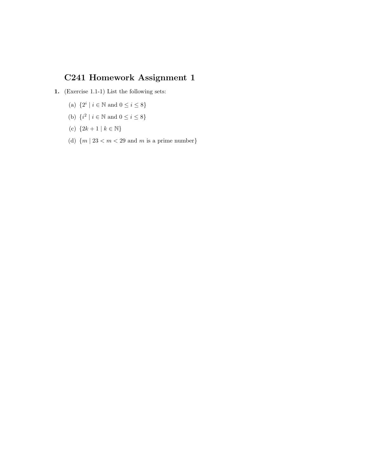## C241 Homework Assignment 1

- 1. (Exercise 1.1-1) List the following sets:
	- (a)  $\{2^i \mid i \in \mathbb{N} \text{ and } 0 \le i \le 8\}$
	- (b)  $\{i^2 \mid i \in \mathbb{N} \text{ and } 0 \le i \le 8\}$
	- (c)  ${2k+1 | k \in \mathbb{N}}$
	- (d)  ${m \mid 23 < m < 29 \text{ and } m \text{ is a prime number}}$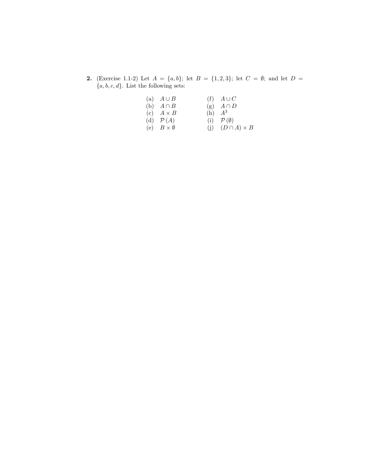2. (Exercise 1.1-2) Let  $A = \{a, b\}$ ; let  $B = \{1, 2, 3\}$ ; let  $C = \emptyset$ ; and let  $D =$  ${a, b, c, d}$ . List the following sets:

| (a) $A \cup B$           | $(f)$ $A \cup C$             |
|--------------------------|------------------------------|
| (b) $A \cap B$           | (g) $A \cap D$               |
| (c) $A \times B$         | $(h)$ $A^3$                  |
| (d) $\mathcal{P}(A)$     | (i) $\mathcal{P}(\emptyset)$ |
| (e) $B \times \emptyset$ | (j) $(D \cap A) \times B$    |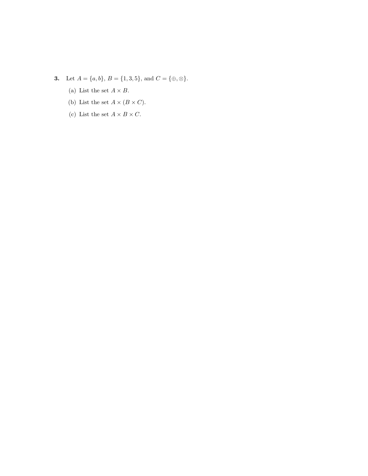- 3. Let  $A = \{a, b\}$ ,  $B = \{1, 3, 5\}$ , and  $C = \{\oplus, \otimes\}$ .
	- (a) List the set  $A \times B$ .
	- (b) List the set  $A\times (B\times C).$
	- (c) List the set  $A \times B \times C$ .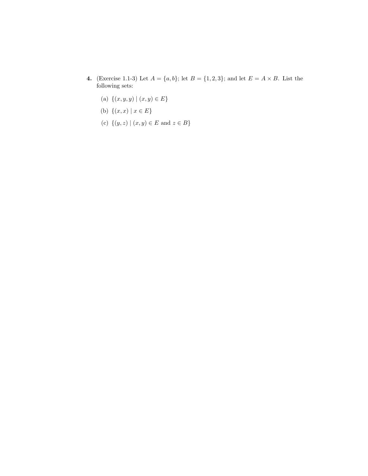- 4. (Exercise 1.1-3) Let  $A = \{a, b\}$ ; let  $B = \{1, 2, 3\}$ ; and let  $E = A \times B$ . List the following sets:
	- (a)  $\{(x, y, y) | (x, y) \in E\}$
	- (b)  $\{(x, x) | x \in E\}$
	- (c)  $\{(y, z) | (x, y) \in E \text{ and } z \in B\}$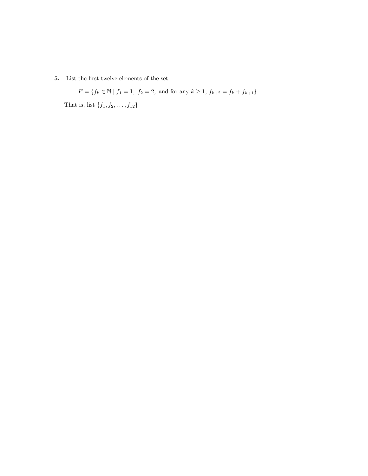5. List the first twelve elements of the set

$$
F = \{ f_k \in \mathbb{N} \mid f_1 = 1, f_2 = 2, \text{ and for any } k \ge 1, f_{k+2} = f_k + f_{k+1} \}
$$

That is, list  $\{f_1, f_2, ..., f_{12}\}$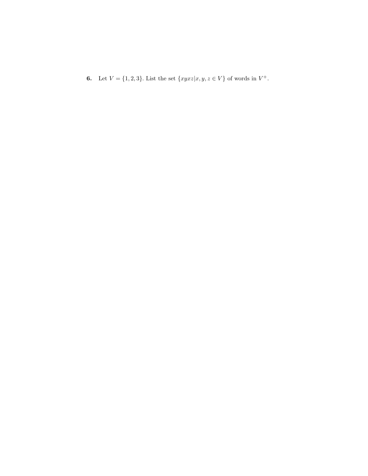**6.** Let  $V = \{1, 2, 3\}$ . List the set  $\{xyxz|x, y, z \in V\}$  of words in  $V^+$ .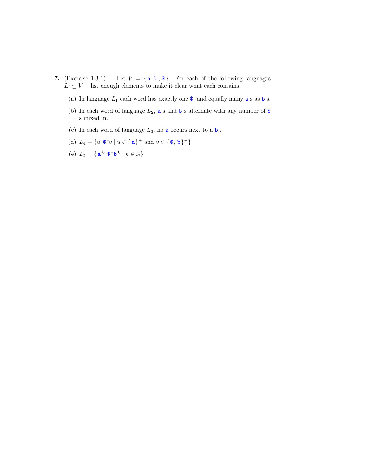- 7. (Exercise 1.3-1) Let  $V = \{a, b, \$\}.$  For each of the following languages  $L_i \subseteq V^+$ , list enough elements to make it clear what each contains.
	- (a) In language  $L_1$  each word has exactly one  $\$$  and equally many  $\mathtt a$  s as  $\mathtt b$  s.
	- (b) In each word of language  $L_2$ , a s and b s alternate with any number of  $\$ s mixed in.
	- (c) In each word of language  $L_3,$  no  ${\tt a}$  occurs next to  ${\tt a}$   ${\tt b}$  .
	- (d)  $L_4 = \{u \hat{\ } \mathbf{\$} \hat{v} \mid u \in \{\mathbf{a}\}^+ \text{ and } v \in \{\mathbf{\$},\mathbf{b}\}^+\}$
	- (e)  $L_5 = \{ \mathbf{a}^k \mathbf{\hat{s}} \mathbf{\hat{b}}^k \mid k \in \mathbb{N} \}$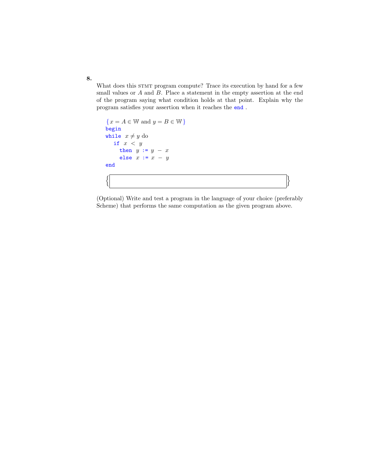What does this STMT program compute? Trace its execution by hand for a few small values or A and B. Place a statement in the empty assertion at the end of the program saying what condition holds at that point. Explain why the program satisfies your assertion when it reaches the end .

```
{x = A \in \mathbb{W} \text{ and } y = B \in \mathbb{W}}begin
while x \neq y do
  if x < ythen y := y - xelse x := x - yend
\left| \begin{array}{ccc} \end{array} \right|
```
(Optional) Write and test a program in the language of your choice (preferably Scheme) that performs the same computation as the given program above.

8.